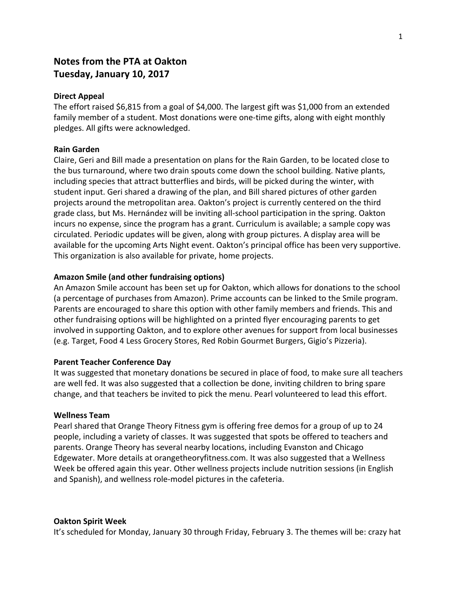# **Notes from the PTA at Oakton Tuesday, January 10, 2017**

## **Direct Appeal**

The effort raised \$6,815 from a goal of \$4,000. The largest gift was \$1,000 from an extended family member of a student. Most donations were one-time gifts, along with eight monthly pledges. All gifts were acknowledged.

# **Rain Garden**

Claire, Geri and Bill made a presentation on plans for the Rain Garden, to be located close to the bus turnaround, where two drain spouts come down the school building. Native plants, including species that attract butterflies and birds, will be picked during the winter, with student input. Geri shared a drawing of the plan, and Bill shared pictures of other garden projects around the metropolitan area. Oakton's project is currently centered on the third grade class, but Ms. Hernández will be inviting all-school participation in the spring. Oakton incurs no expense, since the program has a grant. Curriculum is available; a sample copy was circulated. Periodic updates will be given, along with group pictures. A display area will be available for the upcoming Arts Night event. Oakton's principal office has been very supportive. This organization is also available for private, home projects.

# **Amazon Smile (and other fundraising options)**

An Amazon Smile account has been set up for Oakton, which allows for donations to the school (a percentage of purchases from Amazon). Prime accounts can be linked to the Smile program. Parents are encouraged to share this option with other family members and friends. This and other fundraising options will be highlighted on a printed flyer encouraging parents to get involved in supporting Oakton, and to explore other avenues for support from local businesses (e.g. Target, Food 4 Less Grocery Stores, Red Robin Gourmet Burgers, Gigio's Pizzeria).

#### **Parent Teacher Conference Day**

It was suggested that monetary donations be secured in place of food, to make sure all teachers are well fed. It was also suggested that a collection be done, inviting children to bring spare change, and that teachers be invited to pick the menu. Pearl volunteered to lead this effort.

## **Wellness Team**

Pearl shared that Orange Theory Fitness gym is offering free demos for a group of up to 24 people, including a variety of classes. It was suggested that spots be offered to teachers and parents. Orange Theory has several nearby locations, including Evanston and Chicago Edgewater. More details at orangetheoryfitness.com. It was also suggested that a Wellness Week be offered again this year. Other wellness projects include nutrition sessions (in English and Spanish), and wellness role-model pictures in the cafeteria.

#### **Oakton Spirit Week**

It's scheduled for Monday, January 30 through Friday, February 3. The themes will be: crazy hat